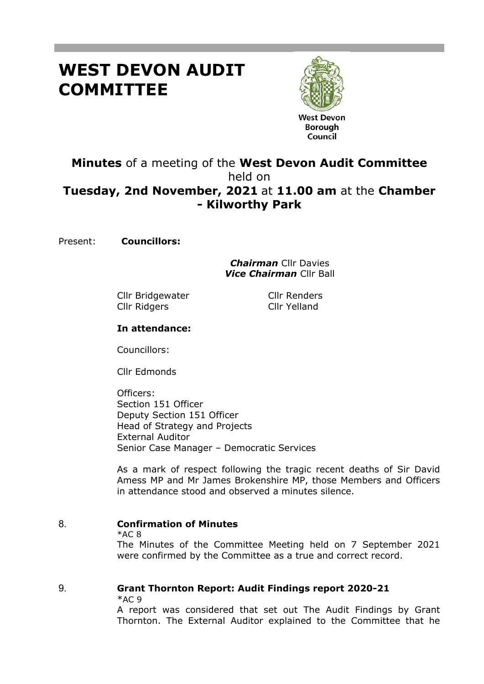# **WEST DEVON AUDIT COMMITTEE**



**West Devon Borough** Council

# **Minutes** of a meeting of the **West Devon Audit Committee** held on **Tuesday, 2nd November, 2021** at **11.00 am** at the **Chamber - Kilworthy Park**

Present: **Councillors:**

*Chairman* Cllr Davies *Vice Chairman* Cllr Ball

Cllr Bridgewater Cllr Renders Cllr Ridgers Cllr Yelland

# **In attendance:**

Councillors:

Cllr Edmonds

Officers: Section 151 Officer Deputy Section 151 Officer Head of Strategy and Projects External Auditor Senior Case Manager – Democratic Services

As a mark of respect following the tragic recent deaths of Sir David Amess MP and Mr James Brokenshire MP, those Members and Officers in attendance stood and observed a minutes silence.

# 8. **Confirmation of Minutes**

 $*AC 8$ 

The Minutes of the Committee Meeting held on 7 September 2021 were confirmed by the Committee as a true and correct record.

# 9. **Grant Thornton Report: Audit Findings report 2020-21**

 $*AC9$ 

A report was considered that set out The Audit Findings by Grant Thornton. The External Auditor explained to the Committee that he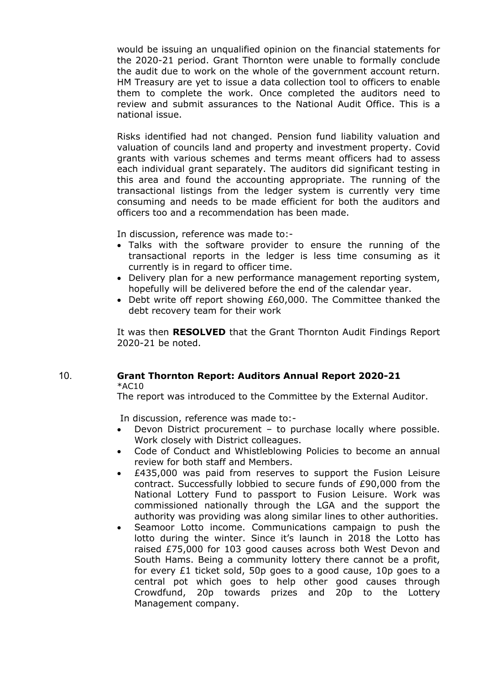would be issuing an unqualified opinion on the financial statements for the 2020-21 period. Grant Thornton were unable to formally conclude the audit due to work on the whole of the government account return. HM Treasury are yet to issue a data collection tool to officers to enable them to complete the work. Once completed the auditors need to review and submit assurances to the National Audit Office. This is a national issue.

Risks identified had not changed. Pension fund liability valuation and valuation of councils land and property and investment property. Covid grants with various schemes and terms meant officers had to assess each individual grant separately. The auditors did significant testing in this area and found the accounting appropriate. The running of the transactional listings from the ledger system is currently very time consuming and needs to be made efficient for both the auditors and officers too and a recommendation has been made.

In discussion, reference was made to:-

- Talks with the software provider to ensure the running of the transactional reports in the ledger is less time consuming as it currently is in regard to officer time.
- Delivery plan for a new performance management reporting system, hopefully will be delivered before the end of the calendar year.
- Debt write off report showing £60,000. The Committee thanked the debt recovery team for their work

It was then **RESOLVED** that the Grant Thornton Audit Findings Report 2020-21 be noted.

#### 10. **Grant Thornton Report: Auditors Annual Report 2020-21** \*AC10

The report was introduced to the Committee by the External Auditor.

In discussion, reference was made to:-

- Devon District procurement to purchase locally where possible. Work closely with District colleagues.
- Code of Conduct and Whistleblowing Policies to become an annual review for both staff and Members.
- £435,000 was paid from reserves to support the Fusion Leisure contract. Successfully lobbied to secure funds of £90,000 from the National Lottery Fund to passport to Fusion Leisure. Work was commissioned nationally through the LGA and the support the authority was providing was along similar lines to other authorities.
- Seamoor Lotto income. Communications campaign to push the lotto during the winter. Since it's launch in 2018 the Lotto has raised £75,000 for 103 good causes across both West Devon and South Hams. Being a community lottery there cannot be a profit, for every  $£1$  ticket sold, 50p goes to a good cause, 10p goes to a central pot which goes to help other good causes through Crowdfund, 20p towards prizes and 20p to the Lottery Management company.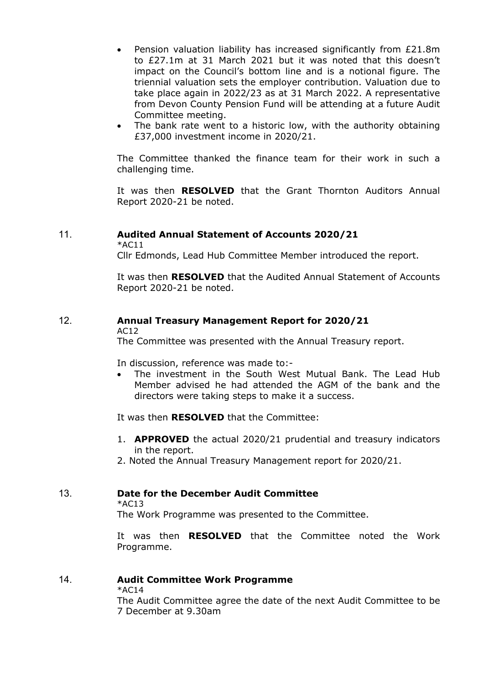- Pension valuation liability has increased significantly from £21.8m to £27.1m at 31 March 2021 but it was noted that this doesn't impact on the Council's bottom line and is a notional figure. The triennial valuation sets the employer contribution. Valuation due to take place again in 2022/23 as at 31 March 2022. A representative from Devon County Pension Fund will be attending at a future Audit Committee meeting.
- The bank rate went to a historic low, with the authority obtaining £37,000 investment income in 2020/21.

The Committee thanked the finance team for their work in such a challenging time.

It was then **RESOLVED** that the Grant Thornton Auditors Annual Report 2020-21 be noted.

# 11. **Audited Annual Statement of Accounts 2020/21**

 $*$ AC11

Cllr Edmonds, Lead Hub Committee Member introduced the report.

It was then **RESOLVED** that the Audited Annual Statement of Accounts Report 2020-21 be noted.

# 12. **Annual Treasury Management Report for 2020/21**

AC12

The Committee was presented with the Annual Treasury report.

In discussion, reference was made to:-

 The investment in the South West Mutual Bank. The Lead Hub Member advised he had attended the AGM of the bank and the directors were taking steps to make it a success.

It was then **RESOLVED** that the Committee:

- 1. **APPROVED** the actual 2020/21 prudential and treasury indicators in the report.
- 2. Noted the Annual Treasury Management report for 2020/21.

## 13. **Date for the December Audit Committee**

 $*AC13$ 

The Work Programme was presented to the Committee.

It was then **RESOLVED** that the Committee noted the Work Programme.

## 14. **Audit Committee Work Programme**

\*AC14

The Audit Committee agree the date of the next Audit Committee to be 7 December at 9.30am